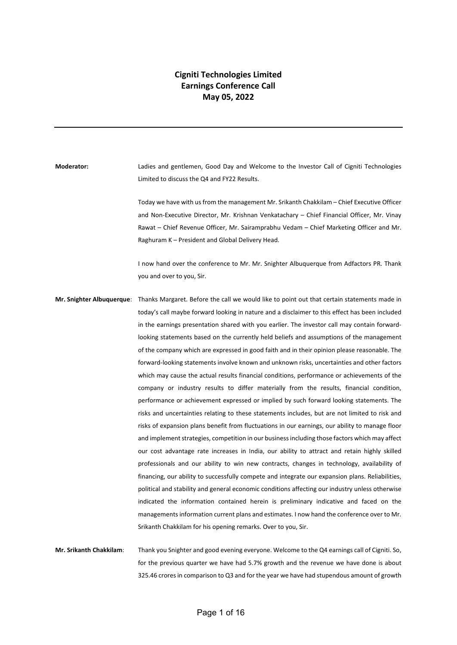## **Cigniti Technologies Limited Earnings Conference Call May 05, 2022**

**Moderator:** Ladies and gentlemen, Good Day and Welcome to the Investor Call of Cigniti Technologies Limited to discuss the Q4 and FY22 Results.

> Today we have with us from the management Mr. Srikanth Chakkilam – Chief Executive Officer and Non-Executive Director, Mr. Krishnan Venkatachary – Chief Financial Officer, Mr. Vinay Rawat – Chief Revenue Officer, Mr. Sairamprabhu Vedam – Chief Marketing Officer and Mr. Raghuram K – President and Global Delivery Head.

> I now hand over the conference to Mr. Mr. Snighter Albuquerque from Adfactors PR. Thank you and over to you, Sir.

**Mr. Snighter Albuquerque**: Thanks Margaret. Before the call we would like to point out that certain statements made in today's call maybe forward looking in nature and a disclaimer to this effect has been included in the earnings presentation shared with you earlier. The investor call may contain forwardlooking statements based on the currently held beliefs and assumptions of the management of the company which are expressed in good faith and in their opinion please reasonable. The forward-looking statements involve known and unknown risks, uncertainties and other factors which may cause the actual results financial conditions, performance or achievements of the company or industry results to differ materially from the results, financial condition, performance or achievement expressed or implied by such forward looking statements. The risks and uncertainties relating to these statements includes, but are not limited to risk and risks of expansion plans benefit from fluctuations in our earnings, our ability to manage floor and implement strategies, competition in our business including those factors which may affect our cost advantage rate increases in India, our ability to attract and retain highly skilled professionals and our ability to win new contracts, changes in technology, availability of financing, our ability to successfully compete and integrate our expansion plans. Reliabilities, political and stability and general economic conditions affecting our industry unless otherwise indicated the information contained herein is preliminary indicative and faced on the managements information current plans and estimates. I now hand the conference over to Mr. Srikanth Chakkilam for his opening remarks. Over to you, Sir.

**Mr. Srikanth Chakkilam**: Thank you Snighter and good evening everyone. Welcome to the Q4 earnings call of Cigniti. So, for the previous quarter we have had 5.7% growth and the revenue we have done is about 325.46 crores in comparison to Q3 and for the year we have had stupendous amount of growth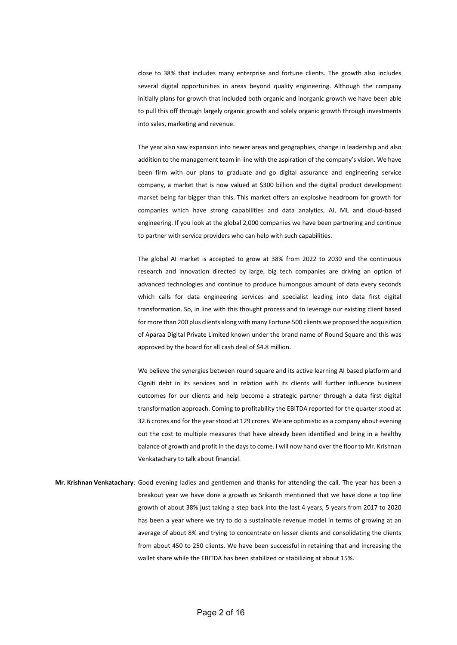close to 38% that includes many enterprise and fortune clients. The growth also includes several digital opportunities in areas beyond quality engineering. Although the company initially plans for growth that included both organic and inorganic growth we have been able to pull this off through largely organic growth and solely organic growth through investments into sales, marketing and revenue.

The year also saw expansion into newer areas and geographies, change in leadership and also addition to the management team in line with the aspiration of the company's vision. We have been firm with our plans to graduate and go digital assurance and engineering service company, a market that is now valued at \$300 billion and the digital product development market being far bigger than this. This market offers an explosive headroom for growth for companies which have strong capabilities and data analytics, AI, ML and cloud-based engineering. If you look at the global 2,000 companies we have been partnering and continue to partner with service providers who can help with such capabilities.

The global AI market is accepted to grow at 38% from 2022 to 2030 and the continuous research and innovation directed by large, big tech companies are driving an option of advanced technologies and continue to produce humongous amount of data every seconds which calls for data engineering services and specialist leading into data first digital transformation. So, in line with this thought process and to leverage our existing client based for more than 200 plus clients along with many Fortune 500 clients we proposed the acquisition of Aparaa Digital Private Limited known under the brand name of Round Square and this was approved by the board for all cash deal of \$4.8 million.

We believe the synergies between round square and its active learning AI based platform and Cigniti debt in its services and in relation with its clients will further influence business outcomes for our clients and help become a strategic partner through a data first digital transformation approach. Coming to profitability the EBITDA reported for the quarter stood at 32.6 crores and for the year stood at 129 crores. We are optimistic as a company about evening out the cost to multiple measures that have already been identified and bring in a healthy balance of growth and profit in the days to come. I will now hand over the floor to Mr. Krishnan Venkatachary to talk about financial.

**Mr. Krishnan Venkatachary**: Good evening ladies and gentlemen and thanks for attending the call. The year has been a breakout year we have done a growth as Srikanth mentioned that we have done a top line growth of about 38% just taking a step back into the last 4 years, 5 years from 2017 to 2020 has been a year where we try to do a sustainable revenue model in terms of growing at an average of about 8% and trying to concentrate on lesser clients and consolidating the clients from about 450 to 250 clients. We have been successful in retaining that and increasing the wallet share while the EBITDA has been stabilized or stabilizing at about 15%.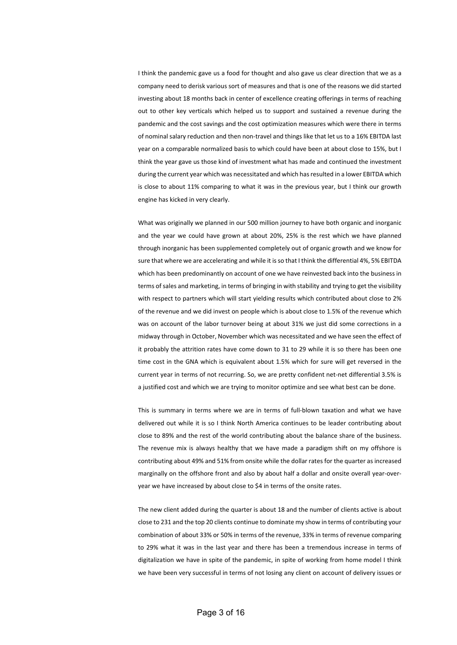I think the pandemic gave us a food for thought and also gave us clear direction that we as a company need to derisk various sort of measures and that is one of the reasons we did started investing about 18 months back in center of excellence creating offerings in terms of reaching out to other key verticals which helped us to support and sustained a revenue during the pandemic and the cost savings and the cost optimization measures which were there in terms of nominal salary reduction and then non-travel and things like that let us to a 16% EBITDA last year on a comparable normalized basis to which could have been at about close to 15%, but I think the year gave us those kind of investment what has made and continued the investment during the current year which was necessitated and which has resulted in a lower EBITDA which is close to about 11% comparing to what it was in the previous year, but I think our growth engine has kicked in very clearly.

What was originally we planned in our 500 million journey to have both organic and inorganic and the year we could have grown at about 20%, 25% is the rest which we have planned through inorganic has been supplemented completely out of organic growth and we know for sure that where we are accelerating and while it is so that I think the differential 4%, 5% EBITDA which has been predominantly on account of one we have reinvested back into the business in terms of sales and marketing, in terms of bringing in with stability and trying to get the visibility with respect to partners which will start yielding results which contributed about close to 2% of the revenue and we did invest on people which is about close to 1.5% of the revenue which was on account of the labor turnover being at about 31% we just did some corrections in a midway through in October, November which was necessitated and we have seen the effect of it probably the attrition rates have come down to 31 to 29 while it is so there has been one time cost in the GNA which is equivalent about 1.5% which for sure will get reversed in the current year in terms of not recurring. So, we are pretty confident net-net differential 3.5% is a justified cost and which we are trying to monitor optimize and see what best can be done.

This is summary in terms where we are in terms of full-blown taxation and what we have delivered out while it is so I think North America continues to be leader contributing about close to 89% and the rest of the world contributing about the balance share of the business. The revenue mix is always healthy that we have made a paradigm shift on my offshore is contributing about 49% and 51% from onsite while the dollar rates for the quarter as increased marginally on the offshore front and also by about half a dollar and onsite overall year-overyear we have increased by about close to \$4 in terms of the onsite rates.

The new client added during the quarter is about 18 and the number of clients active is about close to 231 and the top 20 clients continue to dominate my show in terms of contributing your combination of about 33% or 50% in terms of the revenue, 33% in terms of revenue comparing to 29% what it was in the last year and there has been a tremendous increase in terms of digitalization we have in spite of the pandemic, in spite of working from home model I think we have been very successful in terms of not losing any client on account of delivery issues or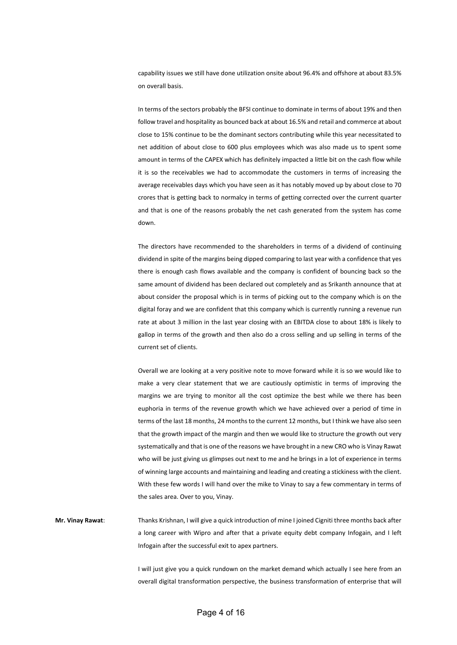capability issues we still have done utilization onsite about 96.4% and offshore at about 83.5% on overall basis.

In terms of the sectors probably the BFSI continue to dominate in terms of about 19% and then follow travel and hospitality as bounced back at about 16.5% and retail and commerce at about close to 15% continue to be the dominant sectors contributing while this year necessitated to net addition of about close to 600 plus employees which was also made us to spent some amount in terms of the CAPEX which has definitely impacted a little bit on the cash flow while it is so the receivables we had to accommodate the customers in terms of increasing the average receivables days which you have seen as it has notably moved up by about close to 70 crores that is getting back to normalcy in terms of getting corrected over the current quarter and that is one of the reasons probably the net cash generated from the system has come down.

The directors have recommended to the shareholders in terms of a dividend of continuing dividend in spite of the margins being dipped comparing to last year with a confidence that yes there is enough cash flows available and the company is confident of bouncing back so the same amount of dividend has been declared out completely and as Srikanth announce that at about consider the proposal which is in terms of picking out to the company which is on the digital foray and we are confident that this company which is currently running a revenue run rate at about 3 million in the last year closing with an EBITDA close to about 18% is likely to gallop in terms of the growth and then also do a cross selling and up selling in terms of the current set of clients.

Overall we are looking at a very positive note to move forward while it is so we would like to make a very clear statement that we are cautiously optimistic in terms of improving the margins we are trying to monitor all the cost optimize the best while we there has been euphoria in terms of the revenue growth which we have achieved over a period of time in terms of the last 18 months, 24 months to the current 12 months, but I think we have also seen that the growth impact of the margin and then we would like to structure the growth out very systematically and that is one of the reasons we have brought in a new CRO who is Vinay Rawat who will be just giving us glimpses out next to me and he brings in a lot of experience in terms of winning large accounts and maintaining and leading and creating a stickiness with the client. With these few words I will hand over the mike to Vinay to say a few commentary in terms of the sales area. Over to you, Vinay.

**Mr. Vinay Rawat**: Thanks Krishnan, I will give a quick introduction of mine I joined Cigniti three months back after a long career with Wipro and after that a private equity debt company Infogain, and I left Infogain after the successful exit to apex partners.

> I will just give you a quick rundown on the market demand which actually I see here from an overall digital transformation perspective, the business transformation of enterprise that will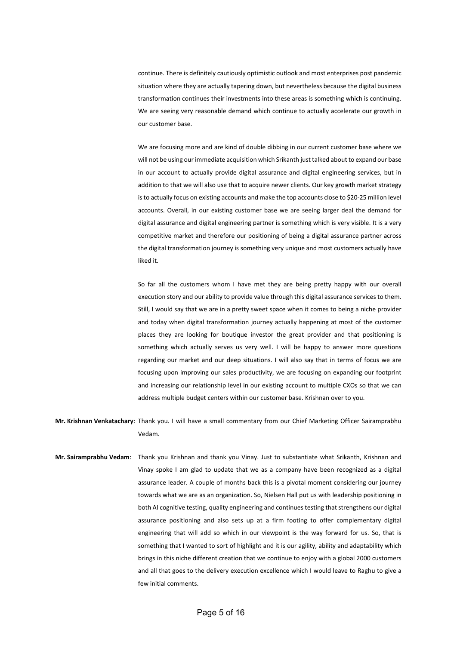continue. There is definitely cautiously optimistic outlook and most enterprises post pandemic situation where they are actually tapering down, but nevertheless because the digital business transformation continues their investments into these areas is something which is continuing. We are seeing very reasonable demand which continue to actually accelerate our growth in our customer base.

We are focusing more and are kind of double dibbing in our current customer base where we will not be using our immediate acquisition which Srikanth just talked about to expand our base in our account to actually provide digital assurance and digital engineering services, but in addition to that we will also use that to acquire newer clients. Our key growth market strategy is to actually focus on existing accounts and make the top accounts close to \$20-25 million level accounts. Overall, in our existing customer base we are seeing larger deal the demand for digital assurance and digital engineering partner is something which is very visible. It is a very competitive market and therefore our positioning of being a digital assurance partner across the digital transformation journey is something very unique and most customers actually have liked it.

So far all the customers whom I have met they are being pretty happy with our overall execution story and our ability to provide value through this digital assurance services to them. Still, I would say that we are in a pretty sweet space when it comes to being a niche provider and today when digital transformation journey actually happening at most of the customer places they are looking for boutique investor the great provider and that positioning is something which actually serves us very well. I will be happy to answer more questions regarding our market and our deep situations. I will also say that in terms of focus we are focusing upon improving our sales productivity, we are focusing on expanding our footprint and increasing our relationship level in our existing account to multiple CXOs so that we can address multiple budget centers within our customer base. Krishnan over to you.

**Mr. Krishnan Venkatachary**: Thank you. I will have a small commentary from our Chief Marketing Officer Sairamprabhu Vedam.

**Mr. Sairamprabhu Vedam**: Thank you Krishnan and thank you Vinay. Just to substantiate what Srikanth, Krishnan and Vinay spoke I am glad to update that we as a company have been recognized as a digital assurance leader. A couple of months back this is a pivotal moment considering our journey towards what we are as an organization. So, Nielsen Hall put us with leadership positioning in both AI cognitive testing, quality engineering and continues testing that strengthens our digital assurance positioning and also sets up at a firm footing to offer complementary digital engineering that will add so which in our viewpoint is the way forward for us. So, that is something that I wanted to sort of highlight and it is our agility, ability and adaptability which brings in this niche different creation that we continue to enjoy with a global 2000 customers and all that goes to the delivery execution excellence which I would leave to Raghu to give a few initial comments.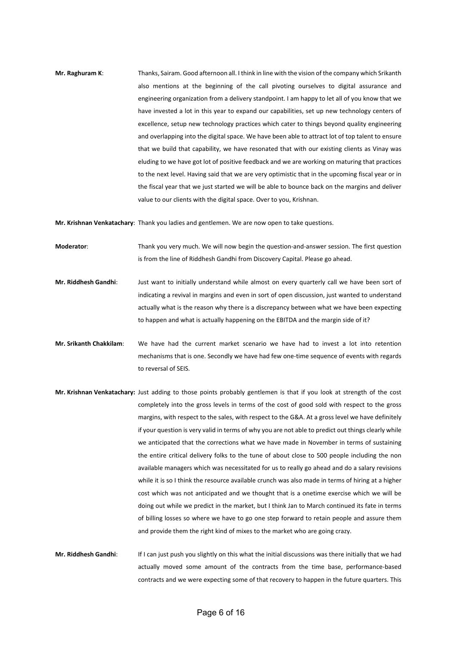**Mr. Raghuram K**: Thanks, Sairam. Good afternoon all. I think in line with the vision of the company which Srikanth also mentions at the beginning of the call pivoting ourselves to digital assurance and engineering organization from a delivery standpoint. I am happy to let all of you know that we have invested a lot in this year to expand our capabilities, set up new technology centers of excellence, setup new technology practices which cater to things beyond quality engineering and overlapping into the digital space. We have been able to attract lot of top talent to ensure that we build that capability, we have resonated that with our existing clients as Vinay was eluding to we have got lot of positive feedback and we are working on maturing that practices to the next level. Having said that we are very optimistic that in the upcoming fiscal year or in the fiscal year that we just started we will be able to bounce back on the margins and deliver value to our clients with the digital space. Over to you, Krishnan.

**Mr. Krishnan Venkatachary**: Thank you ladies and gentlemen. We are now open to take questions.

- **Moderator**: Thank you very much. We will now begin the question-and-answer session. The first question is from the line of Riddhesh Gandhi from Discovery Capital. Please go ahead.
- **Mr. Riddhesh Gandhi**: Just want to initially understand while almost on every quarterly call we have been sort of indicating a revival in margins and even in sort of open discussion, just wanted to understand actually what is the reason why there is a discrepancy between what we have been expecting to happen and what is actually happening on the EBITDA and the margin side of it?
- **Mr. Srikanth Chakkilam**: We have had the current market scenario we have had to invest a lot into retention mechanisms that is one. Secondly we have had few one-time sequence of events with regards to reversal of SEIS.
- **Mr. Krishnan Venkatachary:** Just adding to those points probably gentlemen is that if you look at strength of the cost completely into the gross levels in terms of the cost of good sold with respect to the gross margins, with respect to the sales, with respect to the G&A. At a gross level we have definitely if your question is very valid in terms of why you are not able to predict out things clearly while we anticipated that the corrections what we have made in November in terms of sustaining the entire critical delivery folks to the tune of about close to 500 people including the non available managers which was necessitated for us to really go ahead and do a salary revisions while it is so I think the resource available crunch was also made in terms of hiring at a higher cost which was not anticipated and we thought that is a onetime exercise which we will be doing out while we predict in the market, but I think Jan to March continued its fate in terms of billing losses so where we have to go one step forward to retain people and assure them and provide them the right kind of mixes to the market who are going crazy.
- **Mr. Riddhesh Gandhi**: If I can just push you slightly on this what the initial discussions was there initially that we had actually moved some amount of the contracts from the time base, performance-based contracts and we were expecting some of that recovery to happen in the future quarters. This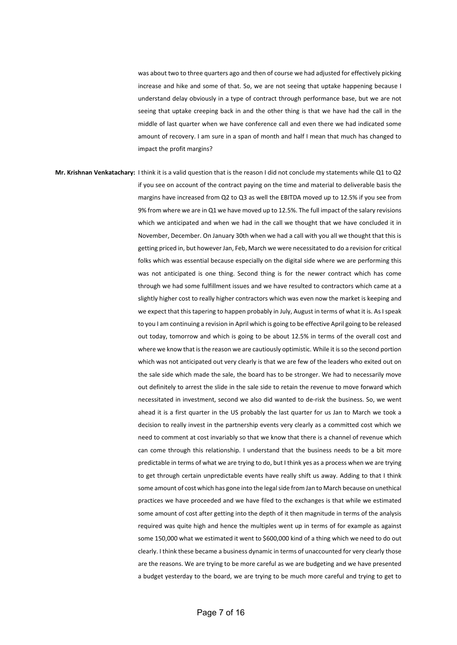was about two to three quarters ago and then of course we had adjusted for effectively picking increase and hike and some of that. So, we are not seeing that uptake happening because I understand delay obviously in a type of contract through performance base, but we are not seeing that uptake creeping back in and the other thing is that we have had the call in the middle of last quarter when we have conference call and even there we had indicated some amount of recovery. I am sure in a span of month and half I mean that much has changed to impact the profit margins?

**Mr. Krishnan Venkatachary:** I think it is a valid question that is the reason I did not conclude my statements while Q1 to Q2 if you see on account of the contract paying on the time and material to deliverable basis the margins have increased from Q2 to Q3 as well the EBITDA moved up to 12.5% if you see from 9% from where we are in Q1 we have moved up to 12.5%. The full impact of the salary revisions which we anticipated and when we had in the call we thought that we have concluded it in November, December. On January 30th when we had a call with you all we thought that this is getting priced in, but however Jan, Feb, March we were necessitated to do a revision for critical folks which was essential because especially on the digital side where we are performing this was not anticipated is one thing. Second thing is for the newer contract which has come through we had some fulfillment issues and we have resulted to contractors which came at a slightly higher cost to really higher contractors which was even now the market is keeping and we expect that this tapering to happen probably in July, August in terms of what it is. As I speak to you I am continuing a revision in April which is going to be effective April going to be released out today, tomorrow and which is going to be about 12.5% in terms of the overall cost and where we know that is the reason we are cautiously optimistic. While it is so the second portion which was not anticipated out very clearly is that we are few of the leaders who exited out on the sale side which made the sale, the board has to be stronger. We had to necessarily move out definitely to arrest the slide in the sale side to retain the revenue to move forward which necessitated in investment, second we also did wanted to de-risk the business. So, we went ahead it is a first quarter in the US probably the last quarter for us Jan to March we took a decision to really invest in the partnership events very clearly as a committed cost which we need to comment at cost invariably so that we know that there is a channel of revenue which can come through this relationship. I understand that the business needs to be a bit more predictable in terms of what we are trying to do, but I think yes as a process when we are trying to get through certain unpredictable events have really shift us away. Adding to that I think some amount of cost which has gone into the legal side from Jan to March because on unethical practices we have proceeded and we have filed to the exchanges is that while we estimated some amount of cost after getting into the depth of it then magnitude in terms of the analysis required was quite high and hence the multiples went up in terms of for example as against some 150,000 what we estimated it went to \$600,000 kind of a thing which we need to do out clearly. I think these became a business dynamic in terms of unaccounted for very clearly those are the reasons. We are trying to be more careful as we are budgeting and we have presented a budget yesterday to the board, we are trying to be much more careful and trying to get to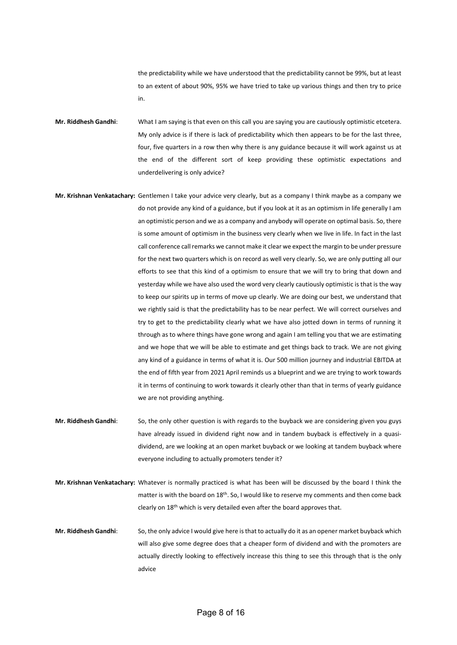the predictability while we have understood that the predictability cannot be 99%, but at least to an extent of about 90%, 95% we have tried to take up various things and then try to price in.

**Mr. Riddhesh Gandhi**: What I am saying is that even on this call you are saying you are cautiously optimistic etcetera. My only advice is if there is lack of predictability which then appears to be for the last three, four, five quarters in a row then why there is any guidance because it will work against us at the end of the different sort of keep providing these optimistic expectations and underdelivering is only advice?

- **Mr. Krishnan Venkatachary:** Gentlemen I take your advice very clearly, but as a company I think maybe as a company we do not provide any kind of a guidance, but if you look at it as an optimism in life generally I am an optimistic person and we as a company and anybody will operate on optimal basis. So, there is some amount of optimism in the business very clearly when we live in life. In fact in the last call conference call remarks we cannot make it clear we expect the margin to be under pressure for the next two quarters which is on record as well very clearly. So, we are only putting all our efforts to see that this kind of a optimism to ensure that we will try to bring that down and yesterday while we have also used the word very clearly cautiously optimistic is that is the way to keep our spirits up in terms of move up clearly. We are doing our best, we understand that we rightly said is that the predictability has to be near perfect. We will correct ourselves and try to get to the predictability clearly what we have also jotted down in terms of running it through as to where things have gone wrong and again I am telling you that we are estimating and we hope that we will be able to estimate and get things back to track. We are not giving any kind of a guidance in terms of what it is. Our 500 million journey and industrial EBITDA at the end of fifth year from 2021 April reminds us a blueprint and we are trying to work towards it in terms of continuing to work towards it clearly other than that in terms of yearly guidance we are not providing anything.
- **Mr. Riddhesh Gandhi**: So, the only other question is with regards to the buyback we are considering given you guys have already issued in dividend right now and in tandem buyback is effectively in a quasidividend, are we looking at an open market buyback or we looking at tandem buyback where everyone including to actually promoters tender it?
- **Mr. Krishnan Venkatachary:** Whatever is normally practiced is what has been will be discussed by the board I think the matter is with the board on 18<sup>th</sup>. So, I would like to reserve my comments and then come back clearly on 18<sup>th</sup> which is very detailed even after the board approves that.
- **Mr. Riddhesh Gandhi**: So, the only advice I would give here is that to actually do it as an opener market buyback which will also give some degree does that a cheaper form of dividend and with the promoters are actually directly looking to effectively increase this thing to see this through that is the only advice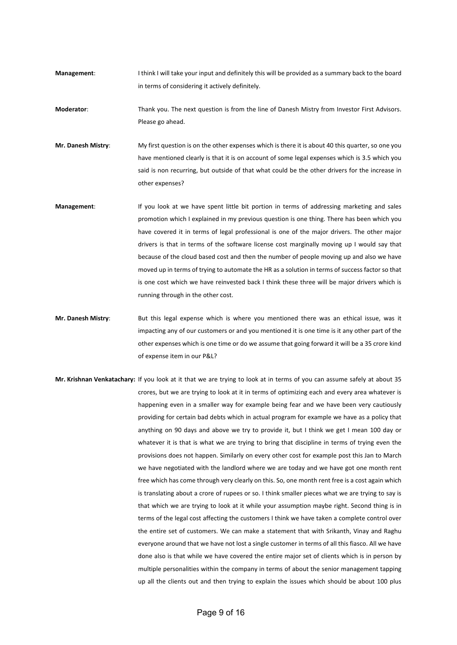**Management:** I think I will take your input and definitely this will be provided as a summary back to the board in terms of considering it actively definitely.

**Moderator**: Thank you. The next question is from the line of Danesh Mistry from Investor First Advisors. Please go ahead.

**Mr. Danesh Mistry**: My first question is on the other expenses which is there it is about 40 this quarter, so one you have mentioned clearly is that it is on account of some legal expenses which is 3.5 which you said is non recurring, but outside of that what could be the other drivers for the increase in other expenses?

- **Management**: If you look at we have spent little bit portion in terms of addressing marketing and sales promotion which I explained in my previous question is one thing. There has been which you have covered it in terms of legal professional is one of the major drivers. The other major drivers is that in terms of the software license cost marginally moving up I would say that because of the cloud based cost and then the number of people moving up and also we have moved up in terms of trying to automate the HR as a solution in terms of success factor so that is one cost which we have reinvested back I think these three will be major drivers which is running through in the other cost.
- **Mr. Danesh Mistry:** But this legal expense which is where you mentioned there was an ethical issue, was it impacting any of our customers or and you mentioned it is one time is it any other part of the other expenses which is one time or do we assume that going forward it will be a 35 crore kind of expense item in our P&L?
- **Mr. Krishnan Venkatachary:** If you look at it that we are trying to look at in terms of you can assume safely at about 35 crores, but we are trying to look at it in terms of optimizing each and every area whatever is happening even in a smaller way for example being fear and we have been very cautiously providing for certain bad debts which in actual program for example we have as a policy that anything on 90 days and above we try to provide it, but I think we get I mean 100 day or whatever it is that is what we are trying to bring that discipline in terms of trying even the provisions does not happen. Similarly on every other cost for example post this Jan to March we have negotiated with the landlord where we are today and we have got one month rent free which has come through very clearly on this. So, one month rent free is a cost again which is translating about a crore of rupees or so. I think smaller pieces what we are trying to say is that which we are trying to look at it while your assumption maybe right. Second thing is in terms of the legal cost affecting the customers I think we have taken a complete control over the entire set of customers. We can make a statement that with Srikanth, Vinay and Raghu everyone around that we have not lost a single customer in terms of all this fiasco. All we have done also is that while we have covered the entire major set of clients which is in person by multiple personalities within the company in terms of about the senior management tapping up all the clients out and then trying to explain the issues which should be about 100 plus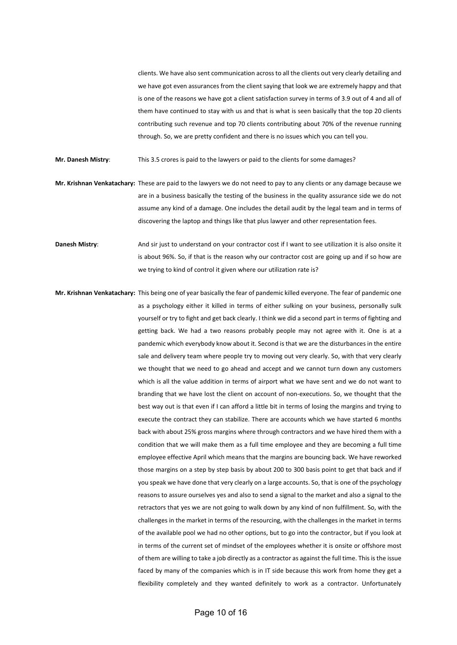clients. We have also sent communication across to all the clients out very clearly detailing and we have got even assurances from the client saying that look we are extremely happy and that is one of the reasons we have got a client satisfaction survey in terms of 3.9 out of 4 and all of them have continued to stay with us and that is what is seen basically that the top 20 clients contributing such revenue and top 70 clients contributing about 70% of the revenue running through. So, we are pretty confident and there is no issues which you can tell you.

**Mr. Danesh Mistry**: This 3.5 crores is paid to the lawyers or paid to the clients for some damages?

**Mr. Krishnan Venkatachary:** These are paid to the lawyers we do not need to pay to any clients or any damage because we are in a business basically the testing of the business in the quality assurance side we do not assume any kind of a damage. One includes the detail audit by the legal team and in terms of discovering the laptop and things like that plus lawyer and other representation fees.

**Danesh Mistry**: And sir just to understand on your contractor cost if I want to see utilization it is also onsite it is about 96%. So, if that is the reason why our contractor cost are going up and if so how are we trying to kind of control it given where our utilization rate is?

**Mr. Krishnan Venkatachary:** This being one of year basically the fear of pandemic killed everyone. The fear of pandemic one as a psychology either it killed in terms of either sulking on your business, personally sulk yourself or try to fight and get back clearly. I think we did a second part in terms of fighting and getting back. We had a two reasons probably people may not agree with it. One is at a pandemic which everybody know about it. Second is that we are the disturbances in the entire sale and delivery team where people try to moving out very clearly. So, with that very clearly we thought that we need to go ahead and accept and we cannot turn down any customers which is all the value addition in terms of airport what we have sent and we do not want to branding that we have lost the client on account of non-executions. So, we thought that the best way out is that even if I can afford a little bit in terms of losing the margins and trying to execute the contract they can stabilize. There are accounts which we have started 6 months back with about 25% gross margins where through contractors and we have hired them with a condition that we will make them as a full time employee and they are becoming a full time employee effective April which means that the margins are bouncing back. We have reworked those margins on a step by step basis by about 200 to 300 basis point to get that back and if you speak we have done that very clearly on a large accounts. So, that is one of the psychology reasons to assure ourselves yes and also to send a signal to the market and also a signal to the retractors that yes we are not going to walk down by any kind of non fulfillment. So, with the challenges in the market in terms of the resourcing, with the challenges in the market in terms of the available pool we had no other options, but to go into the contractor, but if you look at in terms of the current set of mindset of the employees whether it is onsite or offshore most of them are willing to take a job directly as a contractor as against the full time. This is the issue faced by many of the companies which is in IT side because this work from home they get a flexibility completely and they wanted definitely to work as a contractor. Unfortunately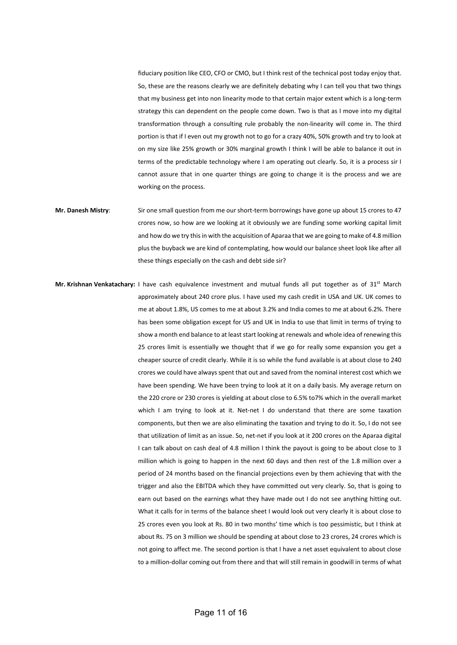fiduciary position like CEO, CFO or CMO, but I think rest of the technical post today enjoy that. So, these are the reasons clearly we are definitely debating why I can tell you that two things that my business get into non linearity mode to that certain major extent which is a long-term strategy this can dependent on the people come down. Two is that as I move into my digital transformation through a consulting rule probably the non-linearity will come in. The third portion is that if I even out my growth not to go for a crazy 40%, 50% growth and try to look at on my size like 25% growth or 30% marginal growth I think I will be able to balance it out in terms of the predictable technology where I am operating out clearly. So, it is a process sir I cannot assure that in one quarter things are going to change it is the process and we are working on the process.

- **Mr. Danesh Mistry**: Sir one small question from me our short-term borrowings have gone up about 15 crores to 47 crores now, so how are we looking at it obviously we are funding some working capital limit and how do we try this in with the acquisition of Aparaa that we are going to make of 4.8 million plus the buyback we are kind of contemplating, how would our balance sheet look like after all these things especially on the cash and debt side sir?
- **Mr. Krishnan Venkatachary:** I have cash equivalence investment and mutual funds all put together as of 31st March approximately about 240 crore plus. I have used my cash credit in USA and UK. UK comes to me at about 1.8%, US comes to me at about 3.2% and India comes to me at about 6.2%. There has been some obligation except for US and UK in India to use that limit in terms of trying to show a month end balance to at least start looking at renewals and whole idea of renewing this 25 crores limit is essentially we thought that if we go for really some expansion you get a cheaper source of credit clearly. While it is so while the fund available is at about close to 240 crores we could have always spent that out and saved from the nominal interest cost which we have been spending. We have been trying to look at it on a daily basis. My average return on the 220 crore or 230 crores is yielding at about close to 6.5% to7% which in the overall market which I am trying to look at it. Net-net I do understand that there are some taxation components, but then we are also eliminating the taxation and trying to do it. So, I do not see that utilization of limit as an issue. So, net-net if you look at it 200 crores on the Aparaa digital I can talk about on cash deal of 4.8 million I think the payout is going to be about close to 3 million which is going to happen in the next 60 days and then rest of the 1.8 million over a period of 24 months based on the financial projections even by them achieving that with the trigger and also the EBITDA which they have committed out very clearly. So, that is going to earn out based on the earnings what they have made out I do not see anything hitting out. What it calls for in terms of the balance sheet I would look out very clearly it is about close to 25 crores even you look at Rs. 80 in two months' time which is too pessimistic, but I think at about Rs. 75 on 3 million we should be spending at about close to 23 crores, 24 crores which is not going to affect me. The second portion is that I have a net asset equivalent to about close to a million-dollar coming out from there and that will still remain in goodwill in terms of what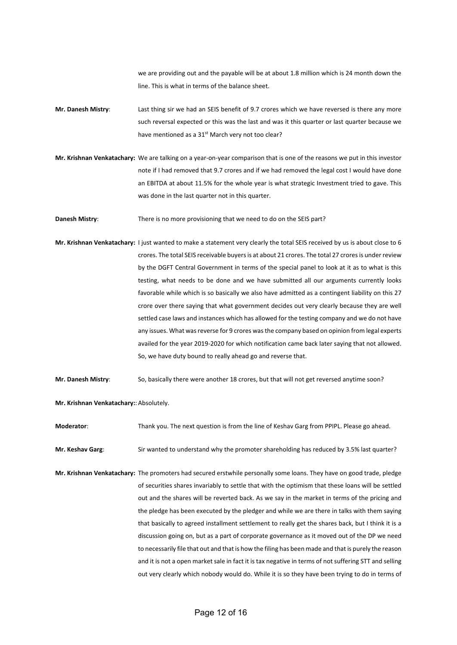we are providing out and the payable will be at about 1.8 million which is 24 month down the line. This is what in terms of the balance sheet.

- **Mr. Danesh Mistry**: Last thing sir we had an SEIS benefit of 9.7 crores which we have reversed is there any more such reversal expected or this was the last and was it this quarter or last quarter because we have mentioned as a 31<sup>st</sup> March very not too clear?
- **Mr. Krishnan Venkatachary:** We are talking on a year-on-year comparison that is one of the reasons we put in this investor note if I had removed that 9.7 crores and if we had removed the legal cost I would have done an EBITDA at about 11.5% for the whole year is what strategic Investment tried to gave. This was done in the last quarter not in this quarter.

**Danesh Mistry:** There is no more provisioning that we need to do on the SEIS part?

- **Mr. Krishnan Venkatachary:** I just wanted to make a statement very clearly the total SEIS received by us is about close to 6 crores. The total SEIS receivable buyers is at about 21 crores. The total 27 crores is under review by the DGFT Central Government in terms of the special panel to look at it as to what is this testing, what needs to be done and we have submitted all our arguments currently looks favorable while which is so basically we also have admitted as a contingent liability on this 27 crore over there saying that what government decides out very clearly because they are well settled case laws and instances which has allowed for the testing company and we do not have any issues. What was reverse for 9 crores was the company based on opinion from legal experts availed for the year 2019-2020 for which notification came back later saying that not allowed. So, we have duty bound to really ahead go and reverse that.
- **Mr. Danesh Mistry**: So, basically there were another 18 crores, but that will not get reversed anytime soon?
- **Mr. Krishnan Venkatachary:: Absolutely.**

**Moderator**: Thank you. The next question is from the line of Keshav Garg from PPIPL. Please go ahead.

- **Mr. Keshav Garg:** Sir wanted to understand why the promoter shareholding has reduced by 3.5% last quarter?
- **Mr. Krishnan Venkatachary:** The promoters had secured erstwhile personally some loans. They have on good trade, pledge of securities shares invariably to settle that with the optimism that these loans will be settled out and the shares will be reverted back. As we say in the market in terms of the pricing and the pledge has been executed by the pledger and while we are there in talks with them saying that basically to agreed installment settlement to really get the shares back, but I think it is a discussion going on, but as a part of corporate governance as it moved out of the DP we need to necessarily file that out and that is how the filing has been made and that is purely the reason and it is not a open market sale in fact it is tax negative in terms of not suffering STT and selling out very clearly which nobody would do. While it is so they have been trying to do in terms of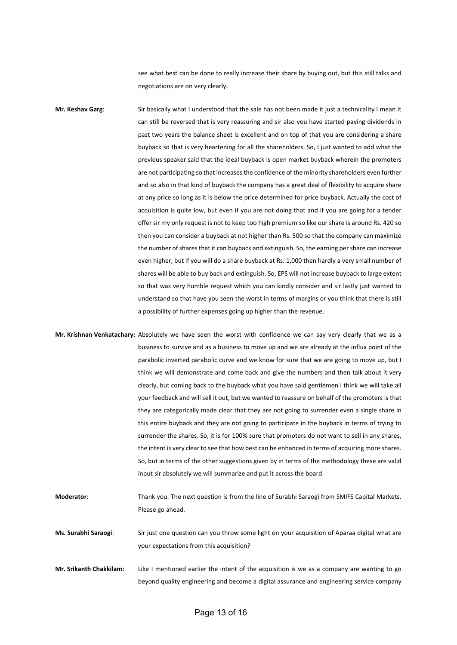see what best can be done to really increase their share by buying out, but this still talks and negotiations are on very clearly.

**Mr. Keshav Garg**: Sir basically what I understood that the sale has not been made it just a technicality I mean it can still be reversed that is very reassuring and sir also you have started paying dividends in past two years the balance sheet is excellent and on top of that you are considering a share buyback so that is very heartening for all the shareholders. So, I just wanted to add what the previous speaker said that the ideal buyback is open market buyback wherein the promoters are not participating so that increases the confidence of the minority shareholders even further and so also in that kind of buyback the company has a great deal of flexibility to acquire share at any price so long as it is below the price determined for price buyback. Actually the cost of acquisition is quite low, but even if you are not doing that and if you are going for a tender offer sir my only request is not to keep too high premium so like our share is around Rs. 420 so then you can consider a buyback at not higher than Rs. 500 so that the company can maximize the number of shares that it can buyback and extinguish. So, the earning per share can increase even higher, but if you will do a share buyback at Rs. 1,000 then hardly a very small number of shares will be able to buy back and extinguish. So, EPS will not increase buyback to large extent so that was very humble request which you can kindly consider and sir lastly just wanted to understand so that have you seen the worst in terms of margins or you think that there is still a possibility of further expenses going up higher than the revenue.

**Mr. Krishnan Venkatachary:** Absolutely we have seen the worst with confidence we can say very clearly that we as a business to survive and as a business to move up and we are already at the influx point of the parabolic inverted parabolic curve and we know for sure that we are going to move up, but I think we will demonstrate and come back and give the numbers and then talk about it very clearly, but coming back to the buyback what you have said gentlemen I think we will take all your feedback and will sell it out, but we wanted to reassure on behalf of the promoters is that they are categorically made clear that they are not going to surrender even a single share in this entire buyback and they are not going to participate in the buyback in terms of trying to surrender the shares. So, it is for 100% sure that promoters do not want to sell in any shares, the intent is very clear to see that how best can be enhanced in terms of acquiring more shares. So, but in terms of the other suggestions given by in terms of the methodology these are valid input sir absolutely we will summarize and put it across the board.

**Moderator**: Thank you. The next question is from the line of Surabhi Saraogi from SMIFS Capital Markets. Please go ahead.

**Ms. Surabhi Saraogi**: Sir just one question can you throw some light on your acquisition of Aparaa digital what are your expectations from this acquisition?

**Mr. Srikanth Chakkilam:** Like I mentioned earlier the intent of the acquisition is we as a company are wanting to go beyond quality engineering and become a digital assurance and engineering service company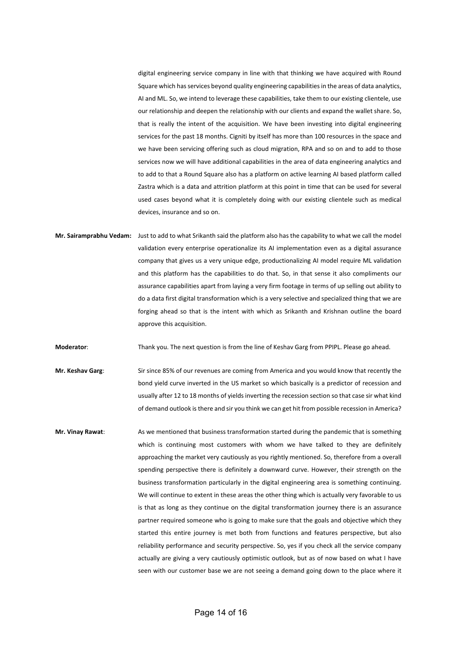digital engineering service company in line with that thinking we have acquired with Round Square which has services beyond quality engineering capabilities in the areas of data analytics, AI and ML. So, we intend to leverage these capabilities, take them to our existing clientele, use our relationship and deepen the relationship with our clients and expand the wallet share. So, that is really the intent of the acquisition. We have been investing into digital engineering services for the past 18 months. Cigniti by itself has more than 100 resources in the space and we have been servicing offering such as cloud migration, RPA and so on and to add to those services now we will have additional capabilities in the area of data engineering analytics and to add to that a Round Square also has a platform on active learning AI based platform called Zastra which is a data and attrition platform at this point in time that can be used for several used cases beyond what it is completely doing with our existing clientele such as medical devices, insurance and so on.

**Mr. Sairamprabhu Vedam:** Just to add to what Srikanth said the platform also has the capability to what we call the model validation every enterprise operationalize its AI implementation even as a digital assurance company that gives us a very unique edge, productionalizing AI model require ML validation and this platform has the capabilities to do that. So, in that sense it also compliments our assurance capabilities apart from laying a very firm footage in terms of up selling out ability to do a data first digital transformation which is a very selective and specialized thing that we are forging ahead so that is the intent with which as Srikanth and Krishnan outline the board approve this acquisition.

**Moderator**: Thank you. The next question is from the line of Keshav Garg from PPIPL. Please go ahead.

**Mr. Keshav Garg**: Sir since 85% of our revenues are coming from America and you would know that recently the bond yield curve inverted in the US market so which basically is a predictor of recession and usually after 12 to 18 months of yields inverting the recession section so that case sir what kind of demand outlook is there and sir you think we can get hit from possible recession in America?

**Mr. Vinay Rawat**: As we mentioned that business transformation started during the pandemic that is something which is continuing most customers with whom we have talked to they are definitely approaching the market very cautiously as you rightly mentioned. So, therefore from a overall spending perspective there is definitely a downward curve. However, their strength on the business transformation particularly in the digital engineering area is something continuing. We will continue to extent in these areas the other thing which is actually very favorable to us is that as long as they continue on the digital transformation journey there is an assurance partner required someone who is going to make sure that the goals and objective which they started this entire journey is met both from functions and features perspective, but also reliability performance and security perspective. So, yes if you check all the service company actually are giving a very cautiously optimistic outlook, but as of now based on what I have seen with our customer base we are not seeing a demand going down to the place where it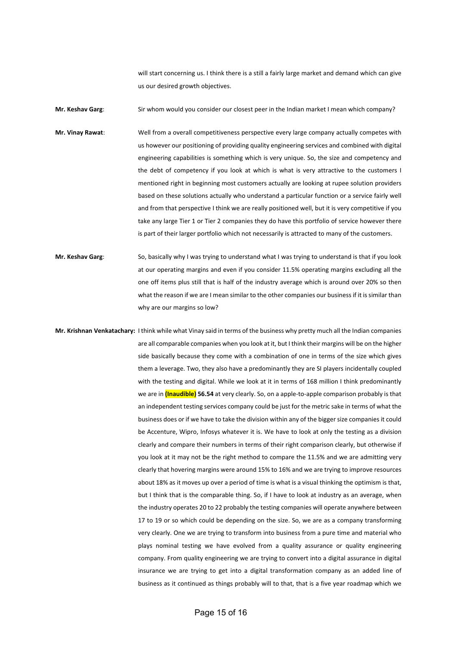will start concerning us. I think there is a still a fairly large market and demand which can give us our desired growth objectives.

**Mr. Keshav Garg:** Sir whom would you consider our closest peer in the Indian market I mean which company?

**Mr. Vinay Rawat**: Well from a overall competitiveness perspective every large company actually competes with us however our positioning of providing quality engineering services and combined with digital engineering capabilities is something which is very unique. So, the size and competency and the debt of competency if you look at which is what is very attractive to the customers I mentioned right in beginning most customers actually are looking at rupee solution providers based on these solutions actually who understand a particular function or a service fairly well and from that perspective I think we are really positioned well, but it is very competitive if you take any large Tier 1 or Tier 2 companies they do have this portfolio of service however there is part of their larger portfolio which not necessarily is attracted to many of the customers.

**Mr. Keshav Garg**: So, basically why I was trying to understand what I was trying to understand is that if you look at our operating margins and even if you consider 11.5% operating margins excluding all the one off items plus still that is half of the industry average which is around over 20% so then what the reason if we are I mean similar to the other companies our business if it is similar than why are our margins so low?

**Mr. Krishnan Venkatachary:** I think while what Vinay said in terms of the business why pretty much all the Indian companies are all comparable companies when you look at it, but I think their margins will be on the higher side basically because they come with a combination of one in terms of the size which gives them a leverage. Two, they also have a predominantly they are SI players incidentally coupled with the testing and digital. While we look at it in terms of 168 million I think predominantly we are in **(Inaudible) 56.54** at very clearly. So, on a apple-to-apple comparison probably is that an independent testing services company could be just for the metric sake in terms of what the business does or if we have to take the division within any of the bigger size companies it could be Accenture, Wipro, Infosys whatever it is. We have to look at only the testing as a division clearly and compare their numbers in terms of their right comparison clearly, but otherwise if you look at it may not be the right method to compare the 11.5% and we are admitting very clearly that hovering margins were around 15% to 16% and we are trying to improve resources about 18% as it moves up over a period of time is what is a visual thinking the optimism is that, but I think that is the comparable thing. So, if I have to look at industry as an average, when the industry operates 20 to 22 probably the testing companies will operate anywhere between 17 to 19 or so which could be depending on the size. So, we are as a company transforming very clearly. One we are trying to transform into business from a pure time and material who plays nominal testing we have evolved from a quality assurance or quality engineering company. From quality engineering we are trying to convert into a digital assurance in digital insurance we are trying to get into a digital transformation company as an added line of business as it continued as things probably will to that, that is a five year roadmap which we